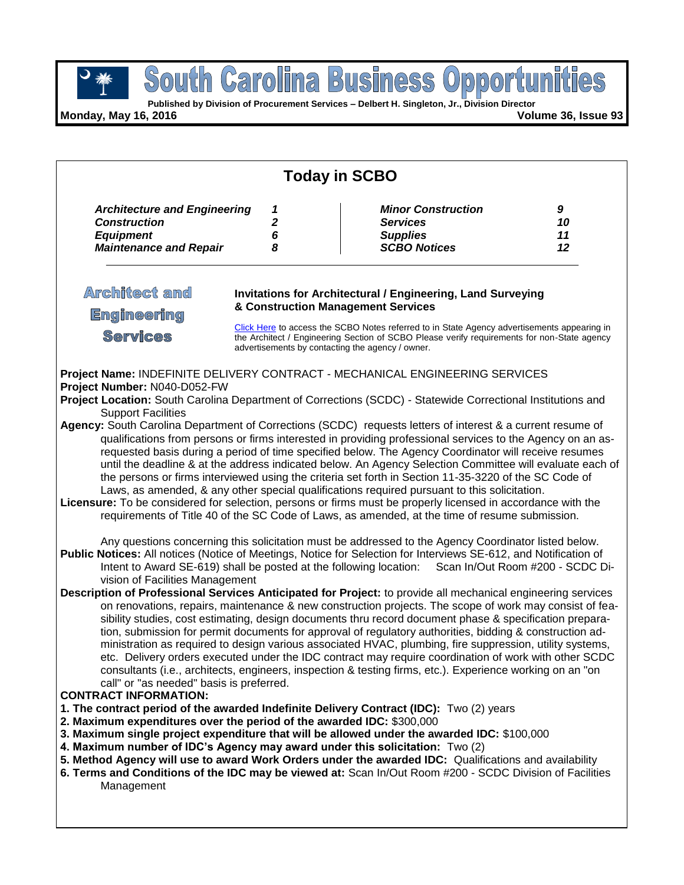$\overline{Q}$ 

**Published by Division of Procurement Services – Delbert H. Singleton, Jr., Division Director**

**Monday, May 16, 2016 Volume 36, Issue 93**

| <b>Today in SCBO</b>                                                                                                                                                                                                                                                                                                                                                                                                                                                                                                                                                                                                                                                                                                                                                                                                                                                                                                                                                                                                                                                                                                                                                                                                                                                                                                                                                                                                                                                                                                                                                                                                                                                                                                                                                                                                                                                                                                                                                                                                                                                                                                                                                                                                                                                                                                                                                                                                                                                                                                                                                                                                                                                                                                                                                                                                                                                                                                                                                                                                                                                                                                                                                                                              |                                 |                                                                                                          |                     |  |
|-------------------------------------------------------------------------------------------------------------------------------------------------------------------------------------------------------------------------------------------------------------------------------------------------------------------------------------------------------------------------------------------------------------------------------------------------------------------------------------------------------------------------------------------------------------------------------------------------------------------------------------------------------------------------------------------------------------------------------------------------------------------------------------------------------------------------------------------------------------------------------------------------------------------------------------------------------------------------------------------------------------------------------------------------------------------------------------------------------------------------------------------------------------------------------------------------------------------------------------------------------------------------------------------------------------------------------------------------------------------------------------------------------------------------------------------------------------------------------------------------------------------------------------------------------------------------------------------------------------------------------------------------------------------------------------------------------------------------------------------------------------------------------------------------------------------------------------------------------------------------------------------------------------------------------------------------------------------------------------------------------------------------------------------------------------------------------------------------------------------------------------------------------------------------------------------------------------------------------------------------------------------------------------------------------------------------------------------------------------------------------------------------------------------------------------------------------------------------------------------------------------------------------------------------------------------------------------------------------------------------------------------------------------------------------------------------------------------------------------------------------------------------------------------------------------------------------------------------------------------------------------------------------------------------------------------------------------------------------------------------------------------------------------------------------------------------------------------------------------------------------------------------------------------------------------------------------------------|---------------------------------|----------------------------------------------------------------------------------------------------------|---------------------|--|
| <b>Architecture and Engineering</b><br><b>Construction</b><br><b>Equipment</b><br><b>Maintenance and Repair</b>                                                                                                                                                                                                                                                                                                                                                                                                                                                                                                                                                                                                                                                                                                                                                                                                                                                                                                                                                                                                                                                                                                                                                                                                                                                                                                                                                                                                                                                                                                                                                                                                                                                                                                                                                                                                                                                                                                                                                                                                                                                                                                                                                                                                                                                                                                                                                                                                                                                                                                                                                                                                                                                                                                                                                                                                                                                                                                                                                                                                                                                                                                   | 1<br>$\boldsymbol{2}$<br>6<br>8 | <b>Minor Construction</b><br><b>Services</b><br><b>Supplies</b><br><b>SCBO Notices</b>                   | 9<br>10<br>11<br>12 |  |
| <b>Architect and</b><br><b>Engineering</b><br><b>Services</b>                                                                                                                                                                                                                                                                                                                                                                                                                                                                                                                                                                                                                                                                                                                                                                                                                                                                                                                                                                                                                                                                                                                                                                                                                                                                                                                                                                                                                                                                                                                                                                                                                                                                                                                                                                                                                                                                                                                                                                                                                                                                                                                                                                                                                                                                                                                                                                                                                                                                                                                                                                                                                                                                                                                                                                                                                                                                                                                                                                                                                                                                                                                                                     |                                 | <b>Invitations for Architectural / Engineering, Land Surveying</b><br>& Construction Management Services |                     |  |
| Click Here to access the SCBO Notes referred to in State Agency advertisements appearing in<br>the Architect / Engineering Section of SCBO Please verify requirements for non-State agency<br>advertisements by contacting the agency / owner.<br>Project Name: INDEFINITE DELIVERY CONTRACT - MECHANICAL ENGINEERING SERVICES<br>Project Number: N040-D052-FW<br>Project Location: South Carolina Department of Corrections (SCDC) - Statewide Correctional Institutions and<br><b>Support Facilities</b><br>Agency: South Carolina Department of Corrections (SCDC) requests letters of interest & a current resume of<br>qualifications from persons or firms interested in providing professional services to the Agency on an as-<br>requested basis during a period of time specified below. The Agency Coordinator will receive resumes<br>until the deadline & at the address indicated below. An Agency Selection Committee will evaluate each of<br>the persons or firms interviewed using the criteria set forth in Section 11-35-3220 of the SC Code of<br>Laws, as amended, & any other special qualifications required pursuant to this solicitation.<br>Licensure: To be considered for selection, persons or firms must be properly licensed in accordance with the<br>requirements of Title 40 of the SC Code of Laws, as amended, at the time of resume submission.<br>Any questions concerning this solicitation must be addressed to the Agency Coordinator listed below.<br>Public Notices: All notices (Notice of Meetings, Notice for Selection for Interviews SE-612, and Notification of<br>Intent to Award SE-619) shall be posted at the following location: Scan In/Out Room #200 - SCDC Di-<br>vision of Facilities Management<br>Description of Professional Services Anticipated for Project: to provide all mechanical engineering services<br>on renovations, repairs, maintenance & new construction projects. The scope of work may consist of fea-<br>sibility studies, cost estimating, design documents thru record document phase & specification prepara-<br>tion, submission for permit documents for approval of regulatory authorities, bidding & construction ad-<br>ministration as required to design various associated HVAC, plumbing, fire suppression, utility systems,<br>etc. Delivery orders executed under the IDC contract may require coordination of work with other SCDC<br>consultants (i.e., architects, engineers, inspection & testing firms, etc.). Experience working on an "on<br>call" or "as needed" basis is preferred.<br><b>CONTRACT INFORMATION:</b><br>1. The contract period of the awarded Indefinite Delivery Contract (IDC): Two (2) years<br>2. Maximum expenditures over the period of the awarded IDC: \$300,000<br>3. Maximum single project expenditure that will be allowed under the awarded IDC: \$100,000<br>4. Maximum number of IDC's Agency may award under this solicitation: Two (2)<br>5. Method Agency will use to award Work Orders under the awarded IDC: Qualifications and availability<br>6. Terms and Conditions of the IDC may be viewed at: Scan In/Out Room #200 - SCDC Division of Facilities<br>Management |                                 |                                                                                                          |                     |  |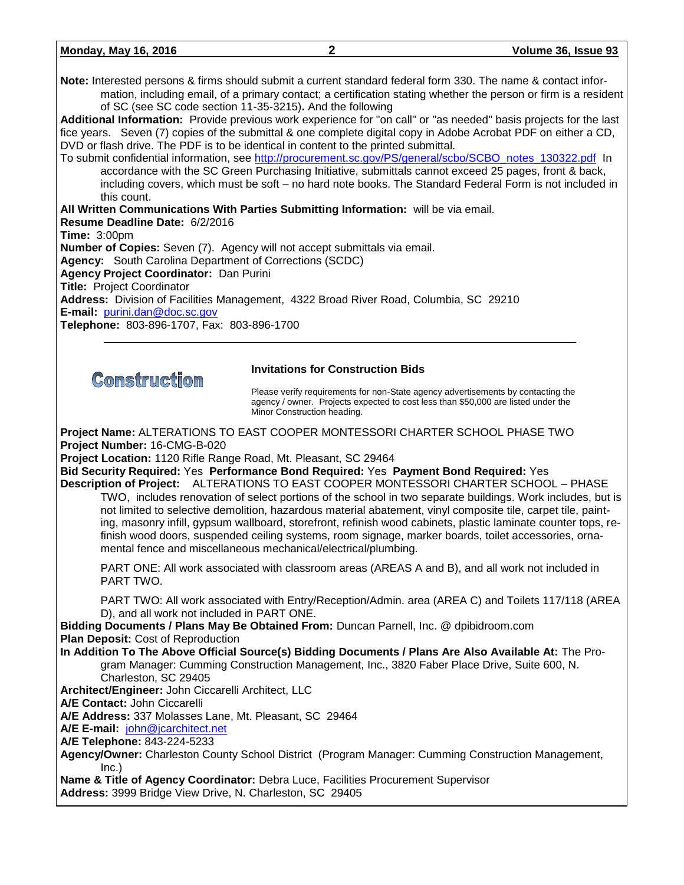| <b>Monday, May 16, 2016</b> | Volume 36, Issue 93 |
|-----------------------------|---------------------|
|                             |                     |

**Note:** Interested persons & firms should submit a current standard federal form 330. The name & contact information, including email, of a primary contact; a certification stating whether the person or firm is a resident of SC (see SC code section 11-35-3215)**.** And the following

**Additional Information:** Provide previous work experience for "on call" or "as needed" basis projects for the last fice years. Seven (7) copies of the submittal & one complete digital copy in Adobe Acrobat PDF on either a CD, DVD or flash drive. The PDF is to be identical in content to the printed submittal.

To submit confidential information, see [http://procurement.sc.gov/PS/general/scbo/SCBO\\_notes\\_130322.pdf](http://procurement.sc.gov/PS/general/scbo/SCBO_notes_130322.pdf) In accordance with the SC Green Purchasing Initiative, submittals cannot exceed 25 pages, front & back, including covers, which must be soft – no hard note books. The Standard Federal Form is not included in this count.

**All Written Communications With Parties Submitting Information:** will be via email. **Resume Deadline Date:** 6/2/2016 **Time:** 3:00pm **Number of Copies:** Seven (7).Agency will not accept submittals via email. **Agency:** South Carolina Department of Corrections (SCDC) **Agency Project Coordinator:** Dan Purini **Title:** Project Coordinator **Address:** Division of Facilities Management, 4322 Broad River Road, Columbia, SC 29210 **E-mail:** [purini.dan@doc.sc.gov](mailto:purini.dan@doc.sc.gov) **Telephone:** 803-896-1707, Fax: 803-896-1700

Comstruction

#### **Invitations for Construction Bids**

Please verify requirements for non-State agency advertisements by contacting the agency / owner. Projects expected to cost less than \$50,000 are listed under the Minor Construction heading.

**Project Name:** ALTERATIONS TO EAST COOPER MONTESSORI CHARTER SCHOOL PHASE TWO **Project Number:** 16-CMG-B-020

**Project Location:** 1120 Rifle Range Road, Mt. Pleasant, SC 29464

**Bid Security Required:** Yes **Performance Bond Required:** Yes **Payment Bond Required:** Yes **Description of Project:** ALTERATIONS TO EAST COOPER MONTESSORI CHARTER SCHOOL – PHASE

TWO, includes renovation of select portions of the school in two separate buildings. Work includes, but is not limited to selective demolition, hazardous material abatement, vinyl composite tile, carpet tile, painting, masonry infill, gypsum wallboard, storefront, refinish wood cabinets, plastic laminate counter tops, refinish wood doors, suspended ceiling systems, room signage, marker boards, toilet accessories, ornamental fence and miscellaneous mechanical/electrical/plumbing.

PART ONE: All work associated with classroom areas (AREAS A and B), and all work not included in PART TWO.

PART TWO: All work associated with Entry/Reception/Admin. area (AREA C) and Toilets 117/118 (AREA D), and all work not included in PART ONE.

**Bidding Documents / Plans May Be Obtained From:** Duncan Parnell, Inc. @ dpibidroom.com **Plan Deposit:** Cost of Reproduction

**In Addition To The Above Official Source(s) Bidding Documents / Plans Are Also Available At:** The Program Manager: Cumming Construction Management, Inc., 3820 Faber Place Drive, Suite 600, N. Charleston, SC 29405

**Architect/Engineer:** John Ciccarelli Architect, LLC

**A/E Contact:** John Ciccarelli

**A/E Address:** 337 Molasses Lane, Mt. Pleasant, SC 29464

**A/E E-mail:** [john@jcarchitect.net](mailto:john@jcarchitect.net)

**A/E Telephone:** 843-224-5233

**Agency/Owner:** Charleston County School District (Program Manager: Cumming Construction Management, Inc.)

**Name & Title of Agency Coordinator:** Debra Luce, Facilities Procurement Supervisor **Address:** 3999 Bridge View Drive, N. Charleston, SC 29405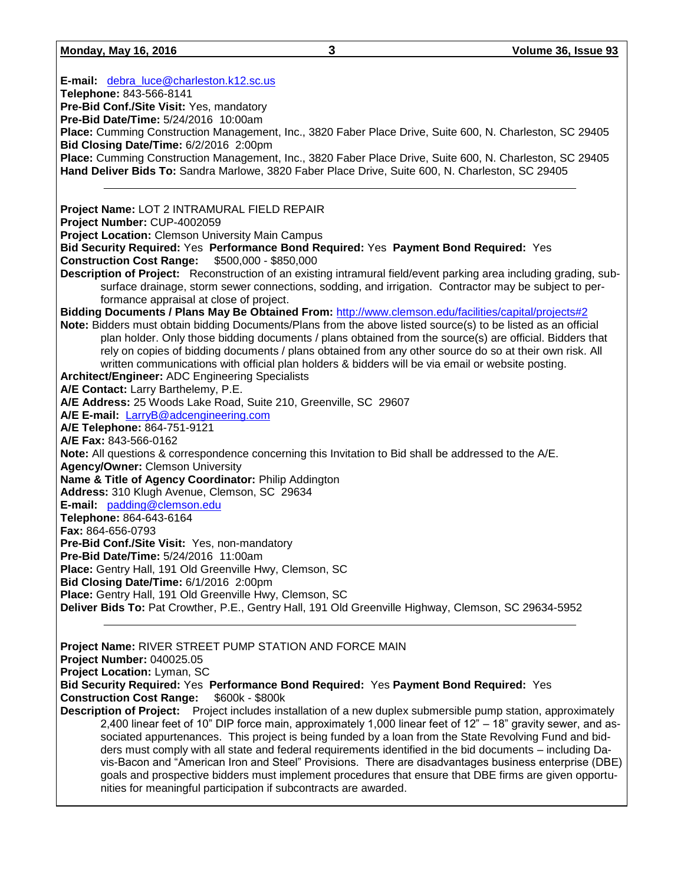#### **Monday, May 16, 2016 3 Volume 36, Issue 93**

**E-mail:** [debra\\_luce@charleston.k12.sc.us](mailto:debra_luce@charleston.k12.sc.us) **Telephone:** 843-566-8141 **Pre-Bid Conf./Site Visit:** Yes, mandatory **Pre-Bid Date/Time:** 5/24/2016 10:00am **Place:** Cumming Construction Management, Inc., 3820 Faber Place Drive, Suite 600, N. Charleston, SC 29405 **Bid Closing Date/Time:** 6/2/2016 2:00pm **Place:** Cumming Construction Management, Inc., 3820 Faber Place Drive, Suite 600, N. Charleston, SC 29405 **Hand Deliver Bids To:** Sandra Marlowe, 3820 Faber Place Drive, Suite 600, N. Charleston, SC 29405 **Project Name:** LOT 2 INTRAMURAL FIELD REPAIR **Project Number:** CUP-4002059 **Project Location:** Clemson University Main Campus **Bid Security Required:** Yes **Performance Bond Required:** Yes **Payment Bond Required:** Yes **Construction Cost Range:** \$500,000 - \$850,000 **Description of Project:** Reconstruction of an existing intramural field/event parking area including grading, subsurface drainage, storm sewer connections, sodding, and irrigation. Contractor may be subject to performance appraisal at close of project. **Bidding Documents / Plans May Be Obtained From:** <http://www.clemson.edu/facilities/capital/projects#2> **Note:** Bidders must obtain bidding Documents/Plans from the above listed source(s) to be listed as an official plan holder. Only those bidding documents / plans obtained from the source(s) are official. Bidders that rely on copies of bidding documents / plans obtained from any other source do so at their own risk. All written communications with official plan holders & bidders will be via email or website posting. **Architect/Engineer:** ADC Engineering Specialists **A/E Contact:** Larry Barthelemy, P.E. **A/E Address:** 25 Woods Lake Road, Suite 210, Greenville, SC 29607 **A/E E-mail:** [LarryB@adcengineering.com](mailto:LarryB@adcengineering.com) **A/E Telephone:** 864-751-9121 **A/E Fax:** 843-566-0162 **Note:** All questions & correspondence concerning this Invitation to Bid shall be addressed to the A/E. **Agency/Owner:** Clemson University **Name & Title of Agency Coordinator:** Philip Addington **Address:** 310 Klugh Avenue, Clemson, SC 29634 **E-mail:** [padding@clemson.edu](mailto:padding@clemson.edu) **Telephone:** 864-643-6164 **Fax:** 864-656-0793 **Pre-Bid Conf./Site Visit:** Yes, non-mandatory **Pre-Bid Date/Time:** 5/24/2016 11:00am **Place:** Gentry Hall, 191 Old Greenville Hwy, Clemson, SC **Bid Closing Date/Time:** 6/1/2016 2:00pm **Place:** Gentry Hall, 191 Old Greenville Hwy, Clemson, SC **Deliver Bids To:** Pat Crowther, P.E., Gentry Hall, 191 Old Greenville Highway, Clemson, SC 29634-5952 **Project Name:** RIVER STREET PUMP STATION AND FORCE MAIN

**Project Number:** 040025.05 **Project Location:** Lyman, SC **Bid Security Required:** Yes **Performance Bond Required:** Yes **Payment Bond Required:** Yes **Construction Cost Range:** \$600k - \$800k **Description of Project:** Project includes installation of a new duplex submersible pump station, approximately 2,400 linear feet of 10" DIP force main, approximately 1,000 linear feet of 12" – 18" gravity sewer, and associated appurtenances. This project is being funded by a loan from the State Revolving Fund and bid-

ders must comply with all state and federal requirements identified in the bid documents – including Davis-Bacon and "American Iron and Steel" Provisions. There are disadvantages business enterprise (DBE) goals and prospective bidders must implement procedures that ensure that DBE firms are given opportunities for meaningful participation if subcontracts are awarded.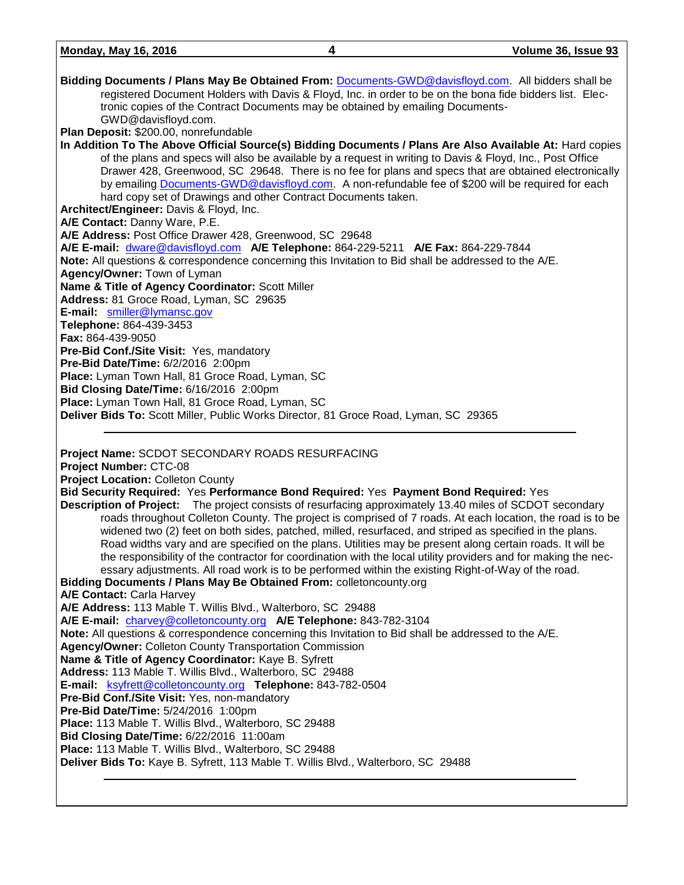| Bidding Documents / Plans May Be Obtained From: Documents-GWD@davisfloyd.com. All bidders shall be              |
|-----------------------------------------------------------------------------------------------------------------|
| registered Document Holders with Davis & Floyd, Inc. in order to be on the bona fide bidders list. Elec-        |
| tronic copies of the Contract Documents may be obtained by emailing Documents-                                  |
| GWD@davisfloyd.com.                                                                                             |
| Plan Deposit: \$200.00, nonrefundable                                                                           |
| In Addition To The Above Official Source(s) Bidding Documents / Plans Are Also Available At: Hard copies        |
| of the plans and specs will also be available by a request in writing to Davis & Floyd, Inc., Post Office       |
| Drawer 428, Greenwood, SC 29648. There is no fee for plans and specs that are obtained electronically           |
| by emailing Documents-GWD@davisfloyd.com. A non-refundable fee of \$200 will be required for each               |
| hard copy set of Drawings and other Contract Documents taken.                                                   |
| Architect/Engineer: Davis & Floyd, Inc.                                                                         |
| A/E Contact: Danny Ware, P.E.                                                                                   |
| A/E Address: Post Office Drawer 428, Greenwood, SC 29648                                                        |
| A/E E-mail: dware@davisfloyd.com A/E Telephone: 864-229-5211 A/E Fax: 864-229-7844                              |
| Note: All questions & correspondence concerning this Invitation to Bid shall be addressed to the A/E.           |
| Agency/Owner: Town of Lyman                                                                                     |
| Name & Title of Agency Coordinator: Scott Miller                                                                |
| Address: 81 Groce Road, Lyman, SC 29635                                                                         |
| E-mail: smiller@lymansc.gov                                                                                     |
| Telephone: 864-439-3453                                                                                         |
| Fax: 864-439-9050                                                                                               |
| Pre-Bid Conf./Site Visit: Yes, mandatory                                                                        |
| Pre-Bid Date/Time: 6/2/2016 2:00pm                                                                              |
| Place: Lyman Town Hall, 81 Groce Road, Lyman, SC                                                                |
| Bid Closing Date/Time: 6/16/2016 2:00pm                                                                         |
| Place: Lyman Town Hall, 81 Groce Road, Lyman, SC                                                                |
| Deliver Bids To: Scott Miller, Public Works Director, 81 Groce Road, Lyman, SC 29365                            |
|                                                                                                                 |
|                                                                                                                 |
|                                                                                                                 |
| Project Name: SCDOT SECONDARY ROADS RESURFACING                                                                 |
| Project Number: CTC-08                                                                                          |
| <b>Project Location: Colleton County</b>                                                                        |
| Bid Security Required: Yes Performance Bond Required: Yes Payment Bond Required: Yes                            |
| <b>Description of Project:</b> The project consists of resurfacing approximately 13.40 miles of SCDOT secondary |
| roads throughout Colleton County. The project is comprised of 7 roads. At each location, the road is to be      |
| widened two (2) feet on both sides, patched, milled, resurfaced, and striped as specified in the plans.         |
| Road widths vary and are specified on the plans. Utilities may be present along certain roads. It will be       |
| the responsibility of the contractor for coordination with the local utility providers and for making the nec-  |
| essary adjustments. All road work is to be performed within the existing Right-of-Way of the road.              |
| Bidding Documents / Plans May Be Obtained From: colletoncounty.org                                              |
| A/E Contact: Carla Harvey                                                                                       |
| A/E Address: 113 Mable T. Willis Blvd., Walterboro, SC 29488                                                    |
| A/E E-mail: charvey@colletoncounty.org A/E Telephone: 843-782-3104                                              |
| Note: All questions & correspondence concerning this Invitation to Bid shall be addressed to the A/E.           |
| <b>Agency/Owner: Colleton County Transportation Commission</b>                                                  |
| Name & Title of Agency Coordinator: Kaye B. Syfrett                                                             |
| Address: 113 Mable T. Willis Blvd., Walterboro, SC 29488                                                        |
| E-mail: ksyfrett@colletoncounty.org Telephone: 843-782-0504                                                     |
| Pre-Bid Conf./Site Visit: Yes, non-mandatory                                                                    |
| Pre-Bid Date/Time: 5/24/2016 1:00pm                                                                             |
| Place: 113 Mable T. Willis Blvd., Walterboro, SC 29488                                                          |
| Bid Closing Date/Time: 6/22/2016 11:00am                                                                        |
| Place: 113 Mable T. Willis Blvd., Walterboro, SC 29488                                                          |
| Deliver Bids To: Kaye B. Syfrett, 113 Mable T. Willis Blvd., Walterboro, SC 29488                               |

**Monday, May 16, 2016 4 Volume 36, Issue 93**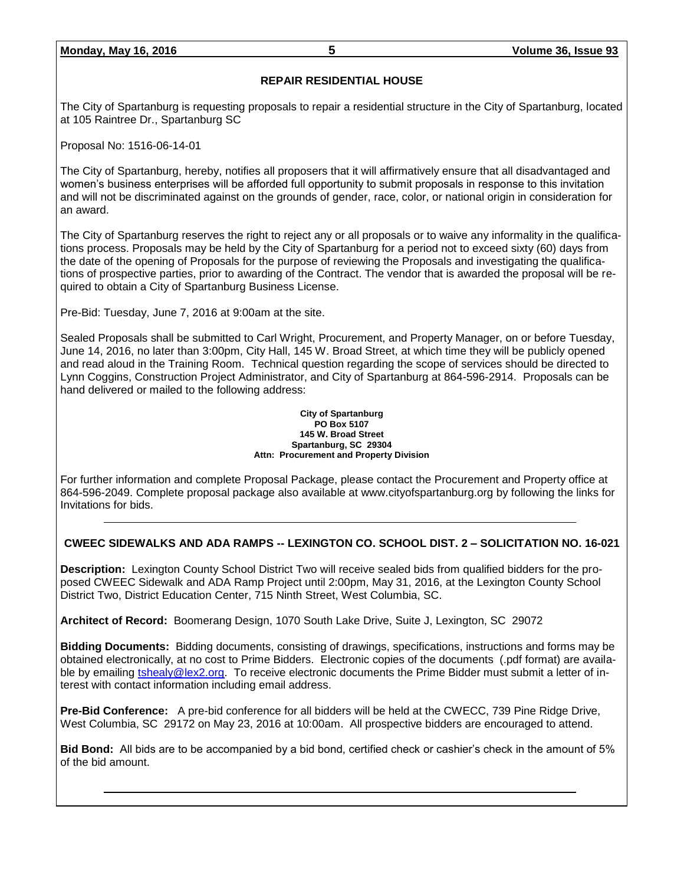#### **REPAIR RESIDENTIAL HOUSE**

The City of Spartanburg is requesting proposals to repair a residential structure in the City of Spartanburg, located at 105 Raintree Dr., Spartanburg SC

Proposal No: 1516-06-14-01

The City of Spartanburg, hereby, notifies all proposers that it will affirmatively ensure that all disadvantaged and women's business enterprises will be afforded full opportunity to submit proposals in response to this invitation and will not be discriminated against on the grounds of gender, race, color, or national origin in consideration for an award.

The City of Spartanburg reserves the right to reject any or all proposals or to waive any informality in the qualifications process. Proposals may be held by the City of Spartanburg for a period not to exceed sixty (60) days from the date of the opening of Proposals for the purpose of reviewing the Proposals and investigating the qualifications of prospective parties, prior to awarding of the Contract. The vendor that is awarded the proposal will be required to obtain a City of Spartanburg Business License.

Pre-Bid: Tuesday, June 7, 2016 at 9:00am at the site.

Sealed Proposals shall be submitted to Carl Wright, Procurement, and Property Manager, on or before Tuesday, June 14, 2016, no later than 3:00pm, City Hall, 145 W. Broad Street, at which time they will be publicly opened and read aloud in the Training Room. Technical question regarding the scope of services should be directed to Lynn Coggins, Construction Project Administrator, and City of Spartanburg at 864-596-2914. Proposals can be hand delivered or mailed to the following address:

#### **City of Spartanburg PO Box 5107 145 W. Broad Street Spartanburg, SC 29304 Attn: Procurement and Property Division**

For further information and complete Proposal Package, please contact the Procurement and Property office at 864-596-2049. Complete proposal package also available at www.cityofspartanburg.org by following the links for Invitations for bids.

#### **CWEEC SIDEWALKS AND ADA RAMPS -- LEXINGTON CO. SCHOOL DIST. 2 – SOLICITATION NO. 16-021**

**Description:** Lexington County School District Two will receive sealed bids from qualified bidders for the proposed CWEEC Sidewalk and ADA Ramp Project until 2:00pm, May 31, 2016, at the Lexington County School District Two, District Education Center, 715 Ninth Street, West Columbia, SC.

**Architect of Record:** Boomerang Design, 1070 South Lake Drive, Suite J, Lexington, SC 29072

**Bidding Documents:** Bidding documents, consisting of drawings, specifications, instructions and forms may be obtained electronically, at no cost to Prime Bidders. Electronic copies of the documents (.pdf format) are available by emailing [tshealy@lex2.org.](mailto:tshealy@lex2.org) To receive electronic documents the Prime Bidder must submit a letter of interest with contact information including email address.

**Pre-Bid Conference:** A pre-bid conference for all bidders will be held at the CWECC, 739 Pine Ridge Drive, West Columbia, SC 29172 on May 23, 2016 at 10:00am. All prospective bidders are encouraged to attend.

**Bid Bond:** All bids are to be accompanied by a bid bond, certified check or cashier's check in the amount of 5% of the bid amount.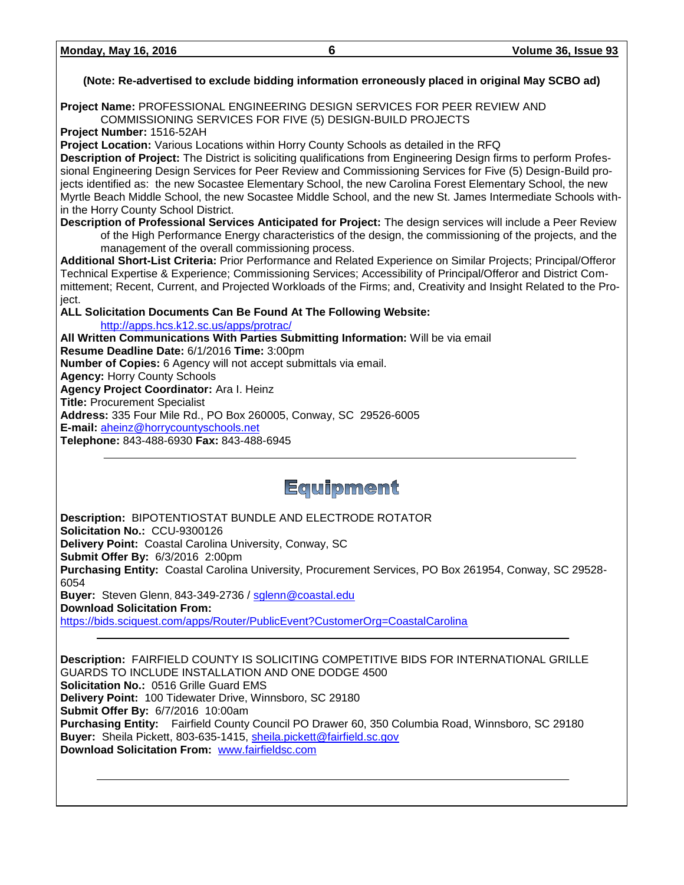#### **(Note: Re-advertised to exclude bidding information erroneously placed in original May SCBO ad)**

**Project Name:** PROFESSIONAL ENGINEERING DESIGN SERVICES FOR PEER REVIEW AND COMMISSIONING SERVICES FOR FIVE (5) DESIGN-BUILD PROJECTS

**Project Number:** 1516-52AH

**Project Location:** Various Locations within Horry County Schools as detailed in the RFQ

**Description of Project:** The District is soliciting qualifications from Engineering Design firms to perform Professional Engineering Design Services for Peer Review and Commissioning Services for Five (5) Design-Build projects identified as: the new Socastee Elementary School, the new Carolina Forest Elementary School, the new Myrtle Beach Middle School, the new Socastee Middle School, and the new St. James Intermediate Schools within the Horry County School District.

**Description of Professional Services Anticipated for Project:** The design services will include a Peer Review of the High Performance Energy characteristics of the design, the commissioning of the projects, and the management of the overall commissioning process.

**Additional Short-List Criteria:** Prior Performance and Related Experience on Similar Projects; Principal/Offeror Technical Expertise & Experience; Commissioning Services; Accessibility of Principal/Offeror and District Committement; Recent, Current, and Projected Workloads of the Firms; and, Creativity and Insight Related to the Project.

**ALL Solicitation Documents Can Be Found At The Following Website:**

<http://apps.hcs.k12.sc.us/apps/protrac/>

**All Written Communications With Parties Submitting Information:** Will be via email **Resume Deadline Date:** 6/1/2016 **Time:** 3:00pm **Number of Copies:** 6 Agency will not accept submittals via email. **Agency:** Horry County Schools **Agency Project Coordinator:** Ara I. Heinz **Title:** Procurement Specialist **Address:** 335 Four Mile Rd., PO Box 260005, Conway, SC 29526-6005 **E-mail:** [aheinz@horrycountyschools.net](mailto:aheinz@horrycountyschools.net) **Telephone:** 843-488-6930 **Fax:** 843-488-6945

# Equipment

**Description:** BIPOTENTIOSTAT BUNDLE AND ELECTRODE ROTATOR **Solicitation No.:** CCU-9300126 **Delivery Point:** Coastal Carolina University, Conway, SC **Submit Offer By:** 6/3/2016 2:00pm **Purchasing Entity:** Coastal Carolina University, Procurement Services, PO Box 261954, Conway, SC 29528- 6054 **Buyer:** Steven Glenn, 843-349-2736 / [sglenn@coastal.edu](mailto:sglenn@coastal.edu) **Download Solicitation From:** <https://bids.sciquest.com/apps/Router/PublicEvent?CustomerOrg=CoastalCarolina>

**Description:** FAIRFIELD COUNTY IS SOLICITING COMPETITIVE BIDS FOR INTERNATIONAL GRILLE GUARDS TO INCLUDE INSTALLATION AND ONE DODGE 4500 **Solicitation No.:** 0516 Grille Guard EMS **Delivery Point:** 100 Tidewater Drive, Winnsboro, SC 29180 **Submit Offer By:** 6/7/2016 10:00am **Purchasing Entity:** Fairfield County Council PO Drawer 60, 350 Columbia Road, Winnsboro, SC 29180 **Buyer:** Sheila Pickett, 803-635-1415, [sheila.pickett@fairfield.sc.gov](mailto:sheila.pickett@fairfield.sc.gov) **Download Solicitation From:** [www.fairfieldsc.com](http://www.fairfieldsc.com/)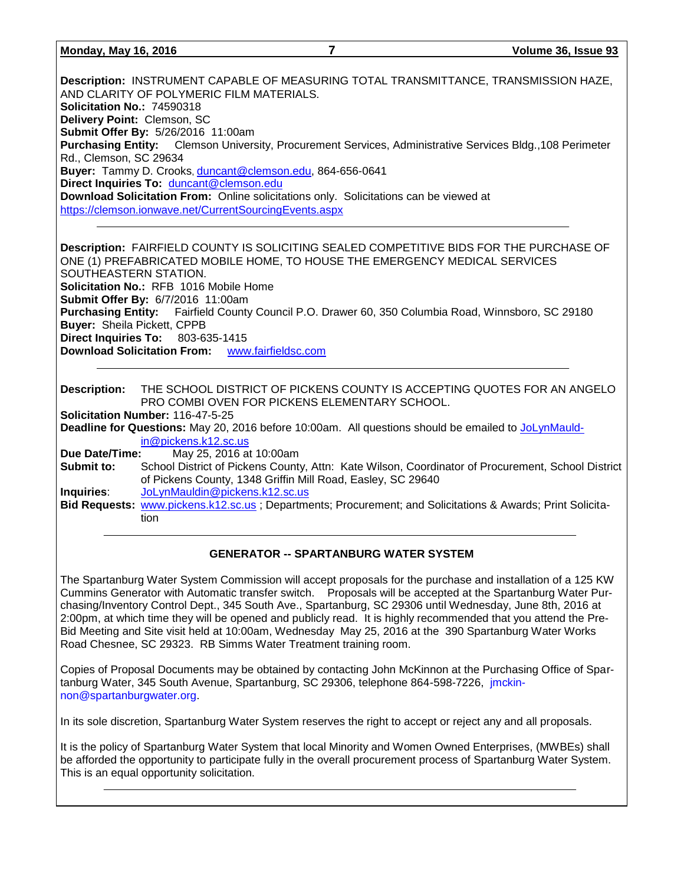#### **Monday, May 16, 2016 7 Volume 36, Issue 93**

**Description:** INSTRUMENT CAPABLE OF MEASURING TOTAL TRANSMITTANCE, TRANSMISSION HAZE, AND CLARITY OF POLYMERIC FILM MATERIALS. **Solicitation No.:** 74590318 **Delivery Point:** Clemson, SC **Submit Offer By:** 5/26/2016 11:00am **Purchasing Entity:** Clemson University, Procurement Services, Administrative Services Bldg.,108 Perimeter Rd., Clemson, SC 29634 **Buyer:** Tammy D. Crooks, [duncant@clemson.edu,](mailto:duncant@clemson.edu) 864-656-0641 **Direct Inquiries To:** [duncant@clemson.edu](mailto:duncant@clemson.edu) **Download Solicitation From:** Online solicitations only. Solicitations can be viewed at <https://clemson.ionwave.net/CurrentSourcingEvents.aspx> **Description:** FAIRFIELD COUNTY IS SOLICITING SEALED COMPETITIVE BIDS FOR THE PURCHASE OF

ONE (1) PREFABRICATED MOBILE HOME, TO HOUSE THE EMERGENCY MEDICAL SERVICES SOUTHEASTERN STATION. **Solicitation No.:** RFB 1016 Mobile Home **Submit Offer By:** 6/7/2016 11:00am **Purchasing Entity:** Fairfield County Council P.O. Drawer 60, 350 Columbia Road, Winnsboro, SC 29180 **Buyer:** Sheila Pickett, CPPB **Direct Inquiries To:** 803-635-1415 **Download Solicitation From:** [www.fairfieldsc.com](http://www.fairfieldsc.com/)

**Description:** THE SCHOOL DISTRICT OF PICKENS COUNTY IS ACCEPTING QUOTES FOR AN ANGELO PRO COMBI OVEN FOR PICKENS ELEMENTARY SCHOOL.

**Solicitation Number:** 116-47-5-25

**Deadline for Questions:** May 20, 2016 before 10:00am. All questions should be emailed to [JoLynMauld](mailto:JoLynMauldin@pickens.k12.sc.us)[in@pickens.k12.sc.us](mailto:JoLynMauldin@pickens.k12.sc.us)

**Due Date/Time:** May 25, 2016 at 10:00am

**Submit to:** School District of Pickens County, Attn: Kate Wilson, Coordinator of Procurement, School District of Pickens County, 1348 Griffin Mill Road, Easley, SC 29640

**Inquiries**: [JoLynMauldin@pickens.k12.sc.us](mailto:JoLynMauldin@pickens.k12.sc.us)

**Bid Requests:** [www.pickens.k12.sc.us](http://www.pickens.k12.sc.us/) ; Departments; Procurement; and Solicitations & Awards; Print Solicitation

#### **GENERATOR -- SPARTANBURG WATER SYSTEM**

The Spartanburg Water System Commission will accept proposals for the purchase and installation of a 125 KW Cummins Generator with Automatic transfer switch. Proposals will be accepted at the Spartanburg Water Purchasing/Inventory Control Dept., 345 South Ave., Spartanburg, SC 29306 until Wednesday, June 8th, 2016 at 2:00pm, at which time they will be opened and publicly read. It is highly recommended that you attend the Pre-Bid Meeting and Site visit held at 10:00am, Wednesday May 25, 2016 at the 390 Spartanburg Water Works Road Chesnee, SC 29323. RB Simms Water Treatment training room.

Copies of Proposal Documents may be obtained by contacting John McKinnon at the Purchasing Office of Spartanburg Water, 345 South Avenue, Spartanburg, SC 29306, telephone 864-598-7226, [jmckin](mailto:jmckinnon@spartanburgwater.org)[non@spartanburgwater.org.](mailto:jmckinnon@spartanburgwater.org)

In its sole discretion, Spartanburg Water System reserves the right to accept or reject any and all proposals.

It is the policy of Spartanburg Water System that local Minority and Women Owned Enterprises, (MWBEs) shall be afforded the opportunity to participate fully in the overall procurement process of Spartanburg Water System. This is an equal opportunity solicitation.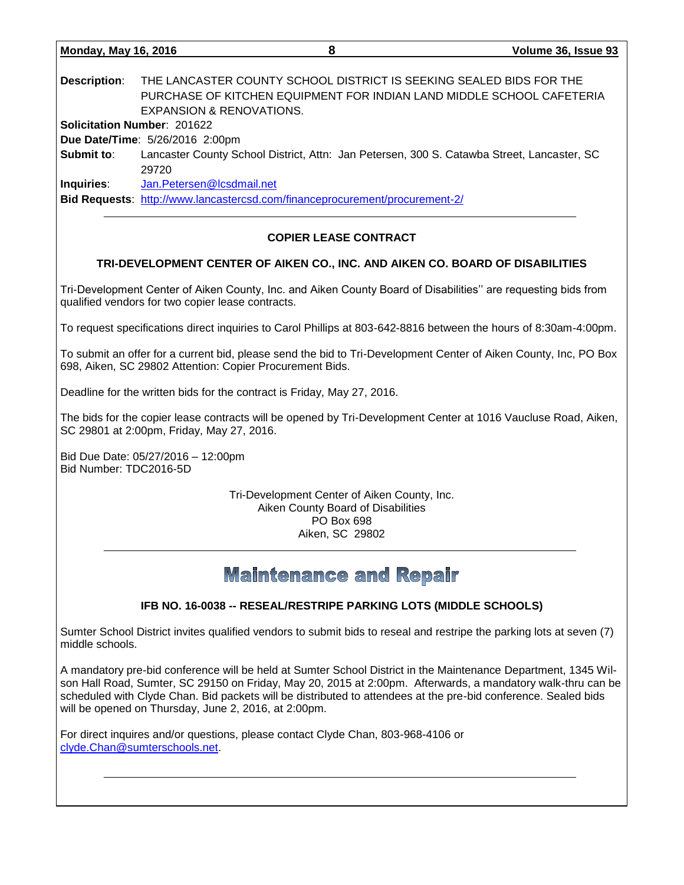|                                    |                                                                                            | $\sim$ |
|------------------------------------|--------------------------------------------------------------------------------------------|--------|
|                                    |                                                                                            |        |
| <b>Description:</b>                | THE LANCASTER COUNTY SCHOOL DISTRICT IS SEEKING SEALED BIDS FOR THE                        |        |
|                                    | PURCHASE OF KITCHEN EQUIPMENT FOR INDIAN LAND MIDDLE SCHOOL CAFETERIA                      |        |
|                                    | EXPANSION & RENOVATIONS.                                                                   |        |
| <b>Solicitation Number: 201622</b> |                                                                                            |        |
|                                    | Due Date/Time: 5/26/2016 2:00pm                                                            |        |
| Submit to:                         | Lancaster County School District, Attn: Jan Petersen, 300 S. Catawba Street, Lancaster, SC |        |
|                                    | 29720                                                                                      |        |
| <b>Inquiries:</b>                  | Jan.Petersen@lcsdmail.net                                                                  |        |
|                                    | Bid Requests: http://www.lancastercsd.com/financeprocurement/procurement-2/                |        |
|                                    |                                                                                            |        |

**Monday, May 16, 2016 8 Volume 36, Issue 93**

### **COPIER LEASE CONTRACT**

### **TRI-DEVELOPMENT CENTER OF AIKEN CO., INC. AND AIKEN CO. BOARD OF DISABILITIES**

Tri-Development Center of Aiken County, Inc. and Aiken County Board of Disabilities'' are requesting bids from qualified vendors for two copier lease contracts.

To request specifications direct inquiries to Carol Phillips at 803-642-8816 between the hours of 8:30am-4:00pm.

To submit an offer for a current bid, please send the bid to Tri-Development Center of Aiken County, Inc, PO Box 698, Aiken, SC 29802 Attention: Copier Procurement Bids.

Deadline for the written bids for the contract is Friday, May 27, 2016.

The bids for the copier lease contracts will be opened by Tri-Development Center at 1016 Vaucluse Road, Aiken, SC 29801 at 2:00pm, Friday, May 27, 2016.

Bid Due Date: 05/27/2016 – 12:00pm Bid Number: TDC2016-5D

> Tri-Development Center of Aiken County, Inc. Aiken County Board of Disabilities PO Box 698 Aiken, SC 29802

## **Maintenance and Repair**

#### **IFB NO. 16-0038 -- RESEAL/RESTRIPE PARKING LOTS (MIDDLE SCHOOLS)**

Sumter School District invites qualified vendors to submit bids to reseal and restripe the parking lots at seven (7) middle schools.

A mandatory pre-bid conference will be held at Sumter School District in the Maintenance Department, 1345 Wilson Hall Road, Sumter, SC 29150 on Friday, May 20, 2015 at 2:00pm. Afterwards, a mandatory walk-thru can be scheduled with Clyde Chan. Bid packets will be distributed to attendees at the pre-bid conference. Sealed bids will be opened on Thursday, June 2, 2016, at 2:00pm.

For direct inquires and/or questions, please contact Clyde Chan, 803-968-4106 or [clyde.Chan@sumterschools.net.](mailto:clyde.Chan@sumterschools.net)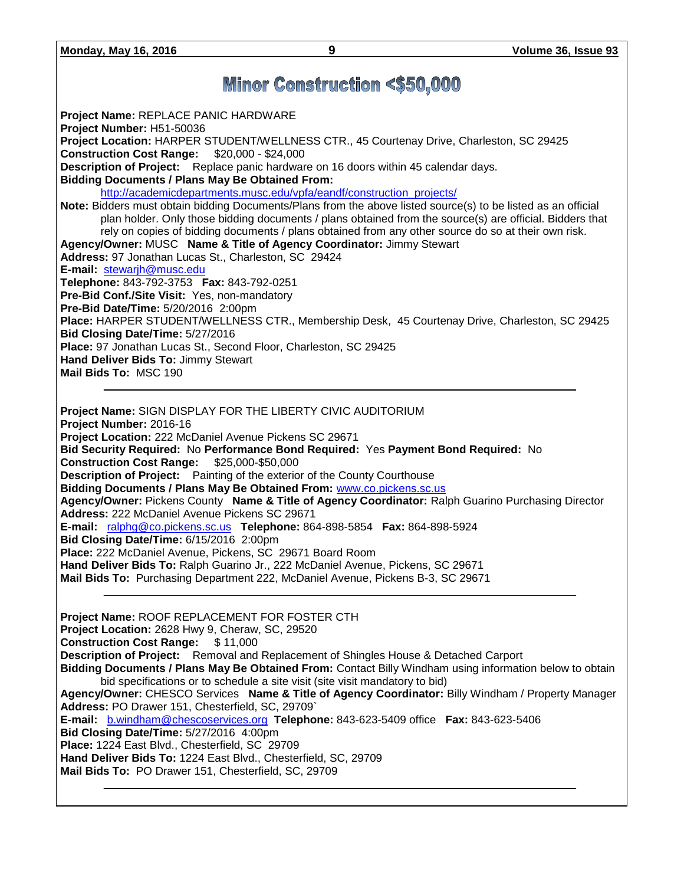## **Minor Construction <\$50,000**

**Project Name:** REPLACE PANIC HARDWARE **Project Number:** H51-50036 **Project Location:** HARPER STUDENT/WELLNESS CTR., 45 Courtenay Drive, Charleston, SC 29425 **Construction Cost Range:** \$20,000 - \$24,000 **Description of Project:** Replace panic hardware on 16 doors within 45 calendar days. **Bidding Documents / Plans May Be Obtained From:** [http://academicdepartments.musc.edu/vpfa/eandf/construction\\_projects/](http://academicdepartments.musc.edu/vpfa/eandf/construction_projects/) **Note:** Bidders must obtain bidding Documents/Plans from the above listed source(s) to be listed as an official plan holder. Only those bidding documents / plans obtained from the source(s) are official. Bidders that rely on copies of bidding documents / plans obtained from any other source do so at their own risk. **Agency/Owner:** MUSC **Name & Title of Agency Coordinator:** Jimmy Stewart **Address:** 97 Jonathan Lucas St., Charleston, SC 29424 **E-mail:** [stewarjh@musc.edu](mailto:stewarjh@musc.edu) **Telephone:** 843-792-3753 **Fax:** 843-792-0251 **Pre-Bid Conf./Site Visit:** Yes, non-mandatory **Pre-Bid Date/Time:** 5/20/2016 2:00pm **Place:** HARPER STUDENT/WELLNESS CTR., Membership Desk, 45 Courtenay Drive, Charleston, SC 29425 **Bid Closing Date/Time:** 5/27/2016 **Place:** 97 Jonathan Lucas St., Second Floor, Charleston, SC 29425 **Hand Deliver Bids To:** Jimmy Stewart **Mail Bids To:** MSC 190

**Project Name:** SIGN DISPLAY FOR THE LIBERTY CIVIC AUDITORIUM **Project Number:** 2016-16 **Project Location:** 222 McDaniel Avenue Pickens SC 29671 **Bid Security Required:** No **Performance Bond Required:** Yes **Payment Bond Required:** No **Construction Cost Range:** \$25,000-\$50,000 **Description of Project:** Painting of the exterior of the County Courthouse **Bidding Documents / Plans May Be Obtained From:** [www.co.pickens.sc.us](http://www.co.pickens.sc.us/) **Agency/Owner:** Pickens County **Name & Title of Agency Coordinator:** Ralph Guarino Purchasing Director **Address:** 222 McDaniel Avenue Pickens SC 29671 **E-mail:** [ralphg@co.pickens.sc.us](mailto:ralphg@co.pickens.sc.us) **Telephone:** 864-898-5854 **Fax:** 864-898-5924 **Bid Closing Date/Time:** 6/15/2016 2:00pm **Place:** 222 McDaniel Avenue, Pickens, SC 29671 Board Room **Hand Deliver Bids To:** Ralph Guarino Jr., 222 McDaniel Avenue, Pickens, SC 29671 **Mail Bids To:** Purchasing Department 222, McDaniel Avenue, Pickens B-3, SC 29671

**Project Name:** ROOF REPLACEMENT FOR FOSTER CTH **Project Location:** 2628 Hwy 9, Cheraw, SC, 29520 **Construction Cost Range:** \$ 11,000 **Description of Project:** Removal and Replacement of Shingles House & Detached Carport **Bidding Documents / Plans May Be Obtained From:** Contact Billy Windham using information below to obtain bid specifications or to schedule a site visit (site visit mandatory to bid) **Agency/Owner:** CHESCO Services **Name & Title of Agency Coordinator:** Billy Windham / Property Manager **Address:** PO Drawer 151, Chesterfield, SC, 29709` **E-mail:** [b.windham@chescoservices.org](mailto:b.windham@chescoservices.org) **Telephone:** 843-623-5409 office **Fax:** 843-623-5406 **Bid Closing Date/Time:** 5/27/2016 4:00pm **Place:** 1224 East Blvd., Chesterfield, SC 29709 **Hand Deliver Bids To:** 1224 East Blvd., Chesterfield, SC, 29709 **Mail Bids To:** PO Drawer 151, Chesterfield, SC, 29709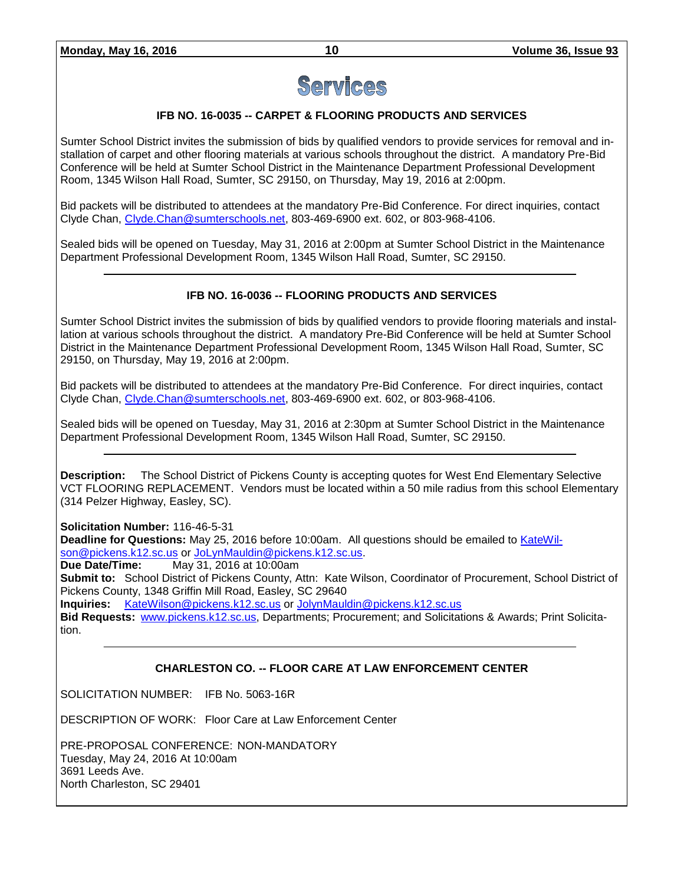

#### **IFB NO. 16-0035 -- CARPET & FLOORING PRODUCTS AND SERVICES**

Sumter School District invites the submission of bids by qualified vendors to provide services for removal and installation of carpet and other flooring materials at various schools throughout the district. A mandatory Pre-Bid Conference will be held at Sumter School District in the Maintenance Department Professional Development Room, 1345 Wilson Hall Road, Sumter, SC 29150, on Thursday, May 19, 2016 at 2:00pm.

Bid packets will be distributed to attendees at the mandatory Pre-Bid Conference. For direct inquiries, contact Clyde Chan, [Clyde.Chan@sumterschools.net,](mailto:Clyde.Chan@sumterschools.net) 803-469-6900 ext. 602, or 803-968-4106.

Sealed bids will be opened on Tuesday, May 31, 2016 at 2:00pm at Sumter School District in the Maintenance Department Professional Development Room, 1345 Wilson Hall Road, Sumter, SC 29150.

#### **IFB NO. 16-0036 -- FLOORING PRODUCTS AND SERVICES**

Sumter School District invites the submission of bids by qualified vendors to provide flooring materials and installation at various schools throughout the district. A mandatory Pre-Bid Conference will be held at Sumter School District in the Maintenance Department Professional Development Room, 1345 Wilson Hall Road, Sumter, SC 29150, on Thursday, May 19, 2016 at 2:00pm.

Bid packets will be distributed to attendees at the mandatory Pre-Bid Conference. For direct inquiries, contact Clyde Chan, [Clyde.Chan@sumterschools.net,](mailto:Clyde.Chan@sumterschools.net) 803-469-6900 ext. 602, or 803-968-4106.

Sealed bids will be opened on Tuesday, May 31, 2016 at 2:30pm at Sumter School District in the Maintenance Department Professional Development Room, 1345 Wilson Hall Road, Sumter, SC 29150.

**Description:** The School District of Pickens County is accepting quotes for West End Elementary Selective VCT FLOORING REPLACEMENT. Vendors must be located within a 50 mile radius from this school Elementary (314 Pelzer Highway, Easley, SC).

**Solicitation Number:** 116-46-5-31

**Deadline for Questions:** May 25, 2016 before 10:00am. All questions should be emailed to [KateWil](mailto:KateWilson@pickens.k12.sc.us)[son@pickens.k12.sc.us](mailto:KateWilson@pickens.k12.sc.us) o[r JoLynMauldin@pickens.k12.sc.us.](mailto:JoLynMauldin@pickens.k12.sc.us)

**Due Date/Time:** May 31, 2016 at 10:00am

**Submit to:** School District of Pickens County, Attn: Kate Wilson, Coordinator of Procurement, School District of Pickens County, 1348 Griffin Mill Road, Easley, SC 29640

**Inquiries:** [KateWilson@pickens.k12.sc.us](mailto:KateWilson@pickens.k12.sc.us) o[r JolynMauldin@pickens.k12.sc.us](mailto:JolynMauldin@pickens.k12.sc.us)

**Bid Requests:** [www.pickens.k12.sc.us,](http://www.pickens.k12.sc.us/) Departments; Procurement; and Solicitations & Awards; Print Solicitation.

#### **CHARLESTON CO. -- FLOOR CARE AT LAW ENFORCEMENT CENTER**

SOLICITATION NUMBER: IFB No. 5063-16R

DESCRIPTION OF WORK: Floor Care at Law Enforcement Center

PRE-PROPOSAL CONFERENCE: NON-MANDATORY Tuesday, May 24, 2016 At 10:00am 3691 Leeds Ave. North Charleston, SC 29401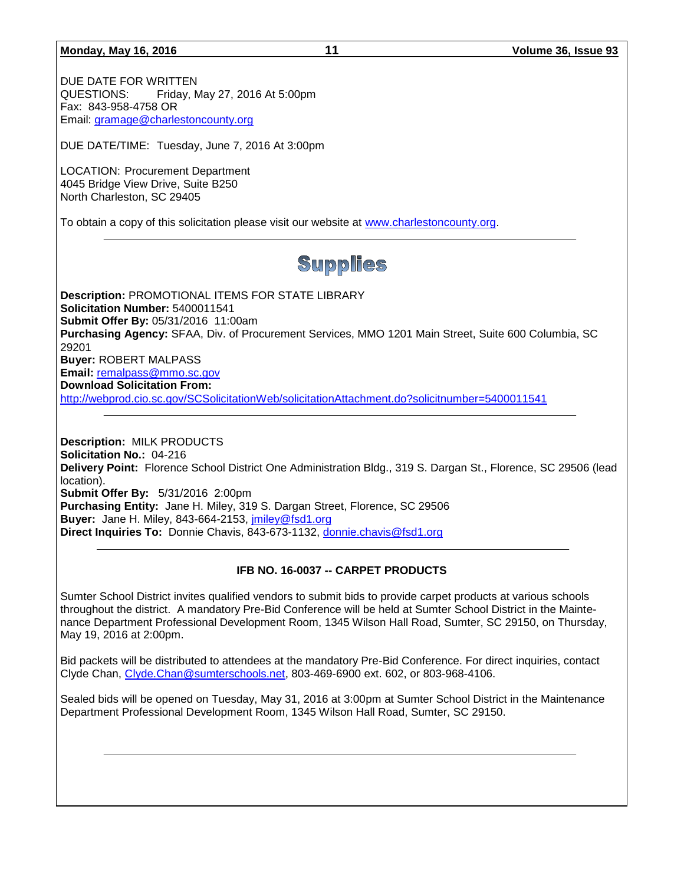**Monday, May 16, 2016 11 Volume 36, Issue 93**

DUE DATE FOR WRITTEN QUESTIONS: Friday, May 27, 2016 At 5:00pm Fax: 843-958-4758 OR Email: [gramage@charlestoncounty.org](mailto:gramage@charlestoncounty.org)

DUE DATE/TIME: Tuesday, June 7, 2016 At 3:00pm

LOCATION: Procurement Department 4045 Bridge View Drive, Suite B250 North Charleston, SC 29405

To obtain a copy of this solicitation please visit our website at [www.charlestoncounty.org.](http://www.charlestoncounty.org/)

# Supplies

**Description:** PROMOTIONAL ITEMS FOR STATE LIBRARY **Solicitation Number:** 5400011541 **Submit Offer By:** 05/31/2016 11:00am **Purchasing Agency:** SFAA, Div. of Procurement Services, MMO 1201 Main Street, Suite 600 Columbia, SC 29201 **Buyer:** ROBERT MALPASS **Email:** [remalpass@mmo.sc.gov](mailto:remalpass@mmo.sc.gov) **Download Solicitation From:**  <http://webprod.cio.sc.gov/SCSolicitationWeb/solicitationAttachment.do?solicitnumber=5400011541>

**Description:** MILK PRODUCTS **Solicitation No.:** 04-216 **Delivery Point:** Florence School District One Administration Bldg., 319 S. Dargan St., Florence, SC 29506 (lead location). **Submit Offer By:** 5/31/2016 2:00pm **Purchasing Entity:** Jane H. Miley, 319 S. Dargan Street, Florence, SC 29506 **Buyer:** Jane H. Miley, 843-664-2153, [jmiley@fsd1.org](mailto:jmiley@fsd1.org) **Direct Inquiries To:** Donnie Chavis, 843-673-1132, [donnie.chavis@fsd1.org](mailto:donnie.chavis@fsd1.org)

#### **IFB NO. 16-0037 -- CARPET PRODUCTS**

Sumter School District invites qualified vendors to submit bids to provide carpet products at various schools throughout the district. A mandatory Pre-Bid Conference will be held at Sumter School District in the Maintenance Department Professional Development Room, 1345 Wilson Hall Road, Sumter, SC 29150, on Thursday, May 19, 2016 at 2:00pm.

Bid packets will be distributed to attendees at the mandatory Pre-Bid Conference. For direct inquiries, contact Clyde Chan, [Clyde.Chan@sumterschools.net,](mailto:Clyde.Chan@sumterschools.net) 803-469-6900 ext. 602, or 803-968-4106.

Sealed bids will be opened on Tuesday, May 31, 2016 at 3:00pm at Sumter School District in the Maintenance Department Professional Development Room, 1345 Wilson Hall Road, Sumter, SC 29150.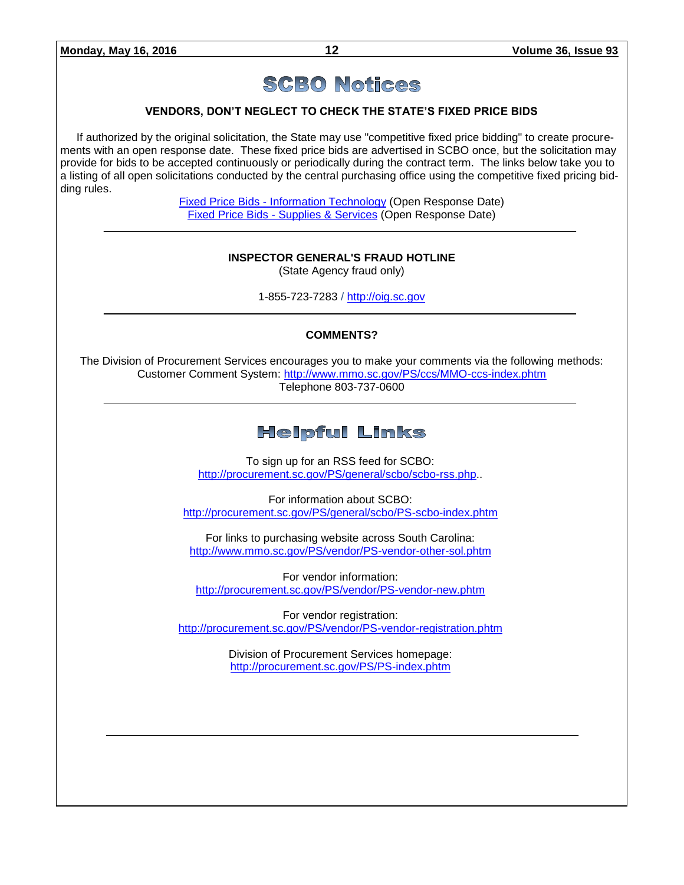# **SCBO Notices**

#### **VENDORS, DON'T NEGLECT TO CHECK THE STATE'S FIXED PRICE BIDS**

If authorized by the original solicitation, the State may use "competitive fixed price bidding" to create procurements with an open response date. These fixed price bids are advertised in SCBO once, but the solicitation may provide for bids to be accepted continuously or periodically during the contract term. The links below take you to a listing of all open solicitations conducted by the central purchasing office using the competitive fixed pricing bidding rules.

> Fixed Price Bids - [Information Technology](http://www.mmo.sc.gov/PS/vendor/PS-vendor-fixed-price-bids-it.phtm) (Open Response Date) Fixed Price Bids - [Supplies & Services](http://www.mmo.sc.gov/PS/vendor/PS-vendor-fixed-price-bids-ss.phtm) (Open Response Date)

#### **INSPECTOR GENERAL'S FRAUD HOTLINE**

(State Agency fraud only)

1-855-723-7283 / [http://oig.sc.gov](http://oig.sc.gov/)

#### **COMMENTS?**

The Division of Procurement Services encourages you to make your comments via the following methods: Customer Comment System:<http://www.mmo.sc.gov/PS/ccs/MMO-ccs-index.phtm> Telephone 803-737-0600

### **Helpful Links**

To sign up for an RSS feed for SCBO: [http://procurement.sc.gov/PS/general/scbo/scbo-rss.php.](http://procurement.sc.gov/PS/general/scbo/scbo-rss.php).

For information about SCBO: <http://procurement.sc.gov/PS/general/scbo/PS-scbo-index.phtm>

For links to purchasing website across South Carolina: <http://www.mmo.sc.gov/PS/vendor/PS-vendor-other-sol.phtm>

For vendor information: <http://procurement.sc.gov/PS/vendor/PS-vendor-new.phtm>

For vendor registration: <http://procurement.sc.gov/PS/vendor/PS-vendor-registration.phtm>

> Division of Procurement Services homepage: <http://procurement.sc.gov/PS/PS-index.phtm>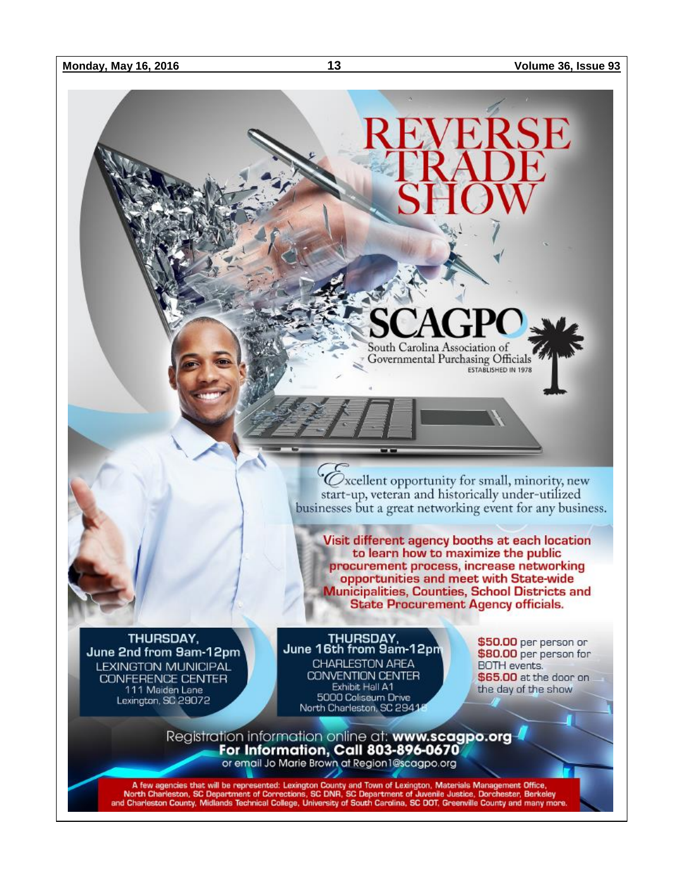